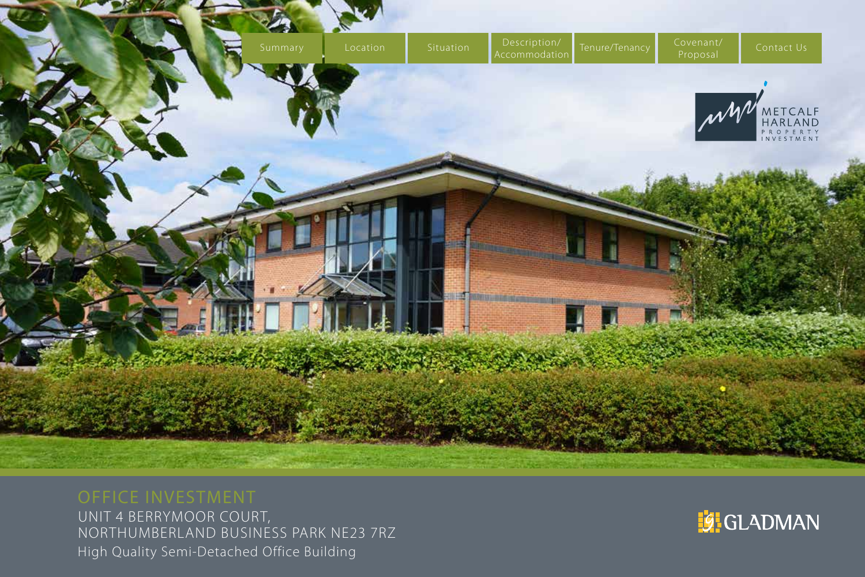<span id="page-0-0"></span>

UNIT 4 BERRYMOOR COURT, NORTHUMBERLAND BUSINESS PARK NE23 7RZ High Quality Semi-Detached Office Building

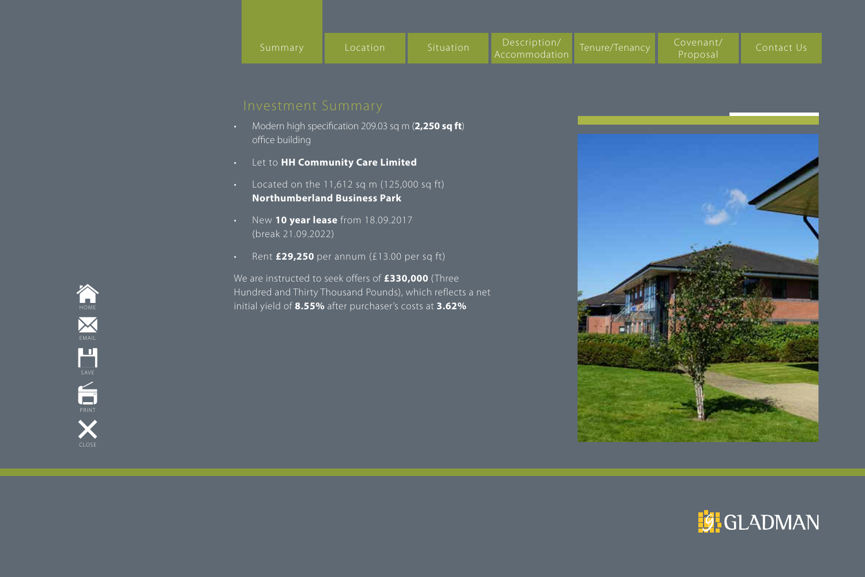- Modern high specification 209.03 sq m (**2,250 sq ft**) office building
- Let to **HH Community Care Limited**
- Located on the 11,612 sq m (125,000 sq ft) **Northumberland Business Park**
- New **10 year lease** from 18.09.2017 (break 21.09.2022)
- Rent **£29,250** per annum (£13.00 per sq ft)

We are instructed to seek offers of **£330,000** (Three Hundred and Thirty Thousand Pounds), which reflects a net initial yield of **8.55%** after purchaser's costs at **3.62%**





[HOME](#page-0-0)  ${\color{black}\times}$ EMAIL H **SAVE**  $\acute{\text{m}}$ PRINT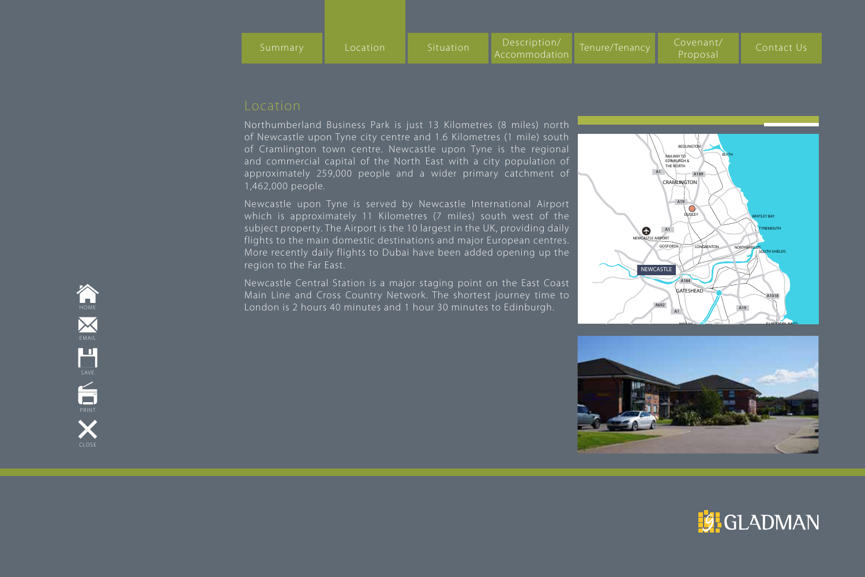Northumberland Business Park is just 13 Kilometres (8 miles) north of Newcastle upon Tyne city centre and 1.6 Kilometres (1 mile) south of Cramlington town centre. Newcastle upon Tyne is the regional and commercial capital of the North East with a city population of approximately 259,000 people and a wider primary catchment of 1,462,000 people.

Newcastle upon Tyne is served by Newcastle International Airport which is approximately 11 Kilometres (7 miles) south west of the subject property. The Airport is the 10 largest in the UK, providing daily flights to the main domestic destinations and major European centres. More recently daily flights to Dubai have been added opening up the region to the Far East.

Newcastle Central Station is a major staging point on the East Coast Main Line and Cross Country Network. The shortest journey time to London is 2 hours 40 minutes and 1 hour 30 minutes to Edinburgh.





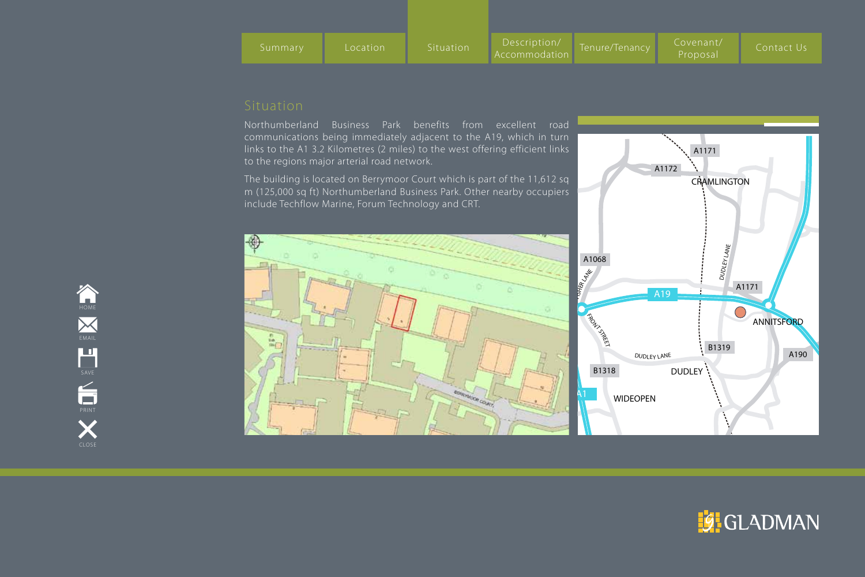| Summary | Location | Situation <sup>1</sup> | Description<br>Accommodation | Tenure/Tenancy | Covenant/<br>Proposal | Contact Us |
|---------|----------|------------------------|------------------------------|----------------|-----------------------|------------|

Northumberland Business Park benefits from excellent road communications being immediately adjacent to the A19, which in turn links to the A1 3.2 Kilometres (2 miles) to the west offering efficient links to the regions major arterial road network.

The building is located on Berrymoor Court which is part of the 11,612 sq m (125,000 sq ft) Northumberland Business Park. Other nearby occupiers include Techflow Marine, Forum Technology and CRT.







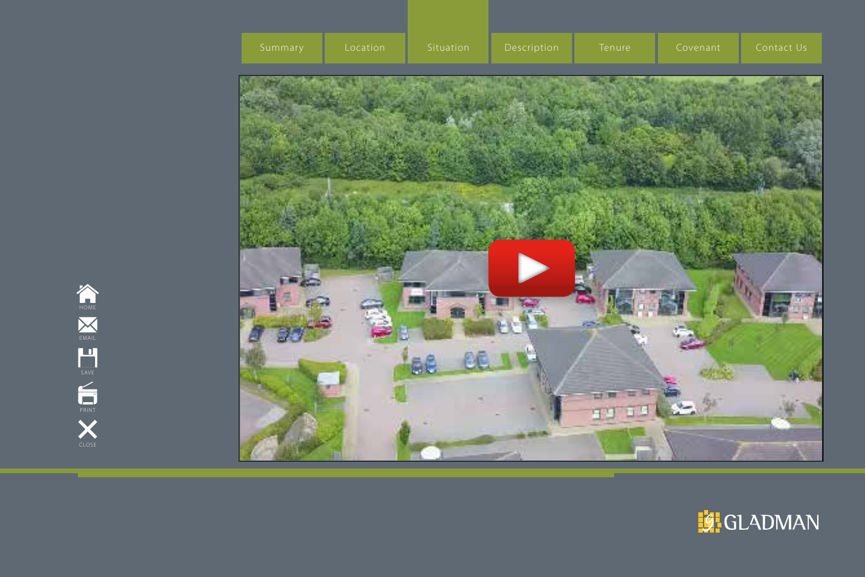

![](_page_4_Picture_1.jpeg)

![](_page_4_Picture_2.jpeg)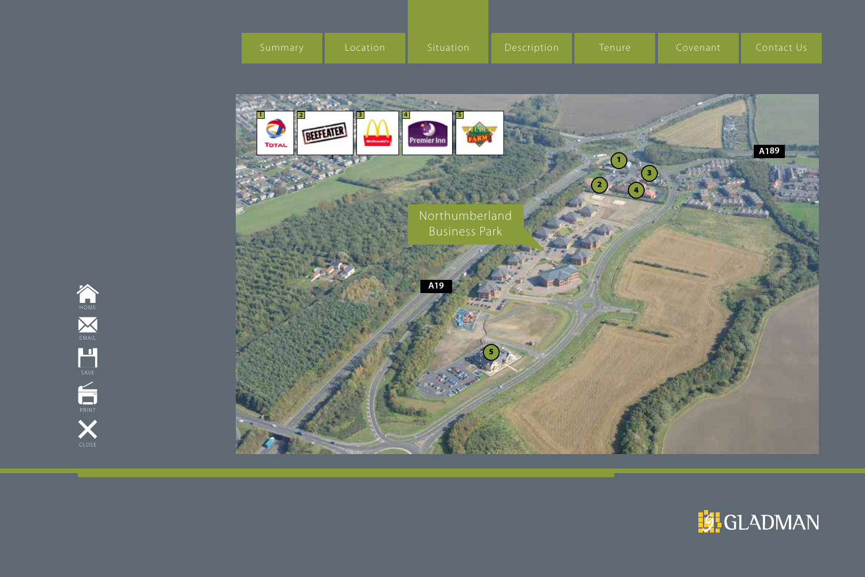| Summary | Location | Situation | Description | Tenure | Covenant | I Contact Us |
|---------|----------|-----------|-------------|--------|----------|--------------|
|         |          |           |             |        |          |              |

![](_page_5_Picture_1.jpeg)

![](_page_5_Picture_2.jpeg)

![](_page_5_Picture_3.jpeg)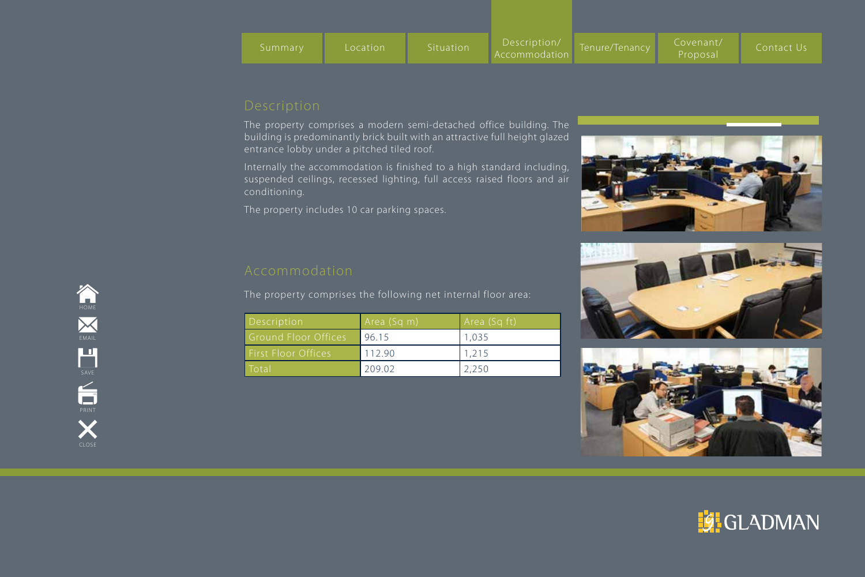The property comprises a modern semi-detached office building. The building is predominantly brick built with an attractive full height glazed entrance lobby under a pitched tiled roof.

Internally the accommodation is finished to a high standard including, suspended ceilings, recessed lighting, full access raised floors and air conditioning.

The property includes 10 car parking spaces.

The property comprises the following net internal floor area:

| Description                 | Area (Sq m) | Area (Sq ft) |
|-----------------------------|-------------|--------------|
| <b>Ground Floor Offices</b> | 96.15       | 1,035        |
| <b>First Floor Offices</b>  | 112.90      | 1.215        |
| <b>Total</b>                | 209.02      | 2,250        |

![](_page_6_Picture_8.jpeg)

![](_page_6_Picture_9.jpeg)

![](_page_6_Picture_10.jpeg)

![](_page_6_Picture_11.jpeg)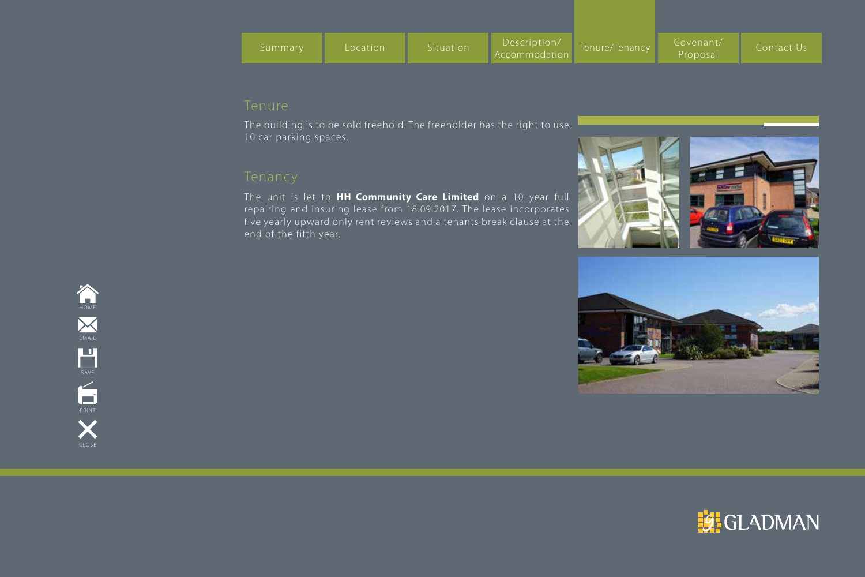The building is to be sold freehold. The freeholder has the right to use 10 car parking spaces.

The unit is let to **HH Community Care Limited** on a 10 year full repairing and insuring lease from 18.09.2017. The lease incorporates five yearly upward only rent reviews and a tenants break clause at the end of the fifth year.

![](_page_7_Picture_5.jpeg)

![](_page_7_Picture_6.jpeg)

![](_page_7_Picture_7.jpeg)

![](_page_7_Picture_8.jpeg)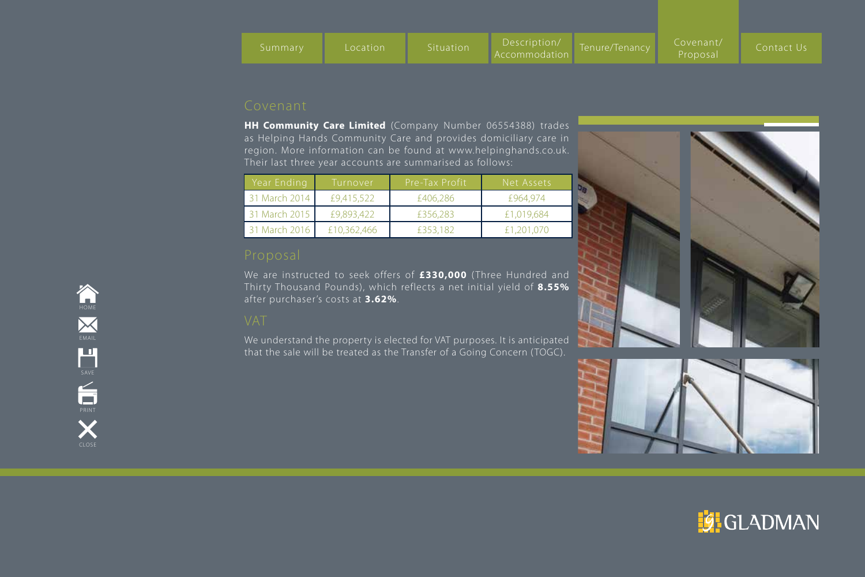**HH Community Care Limited** (Company Number 06554388) trades as Helping Hands Community Care and provides domiciliary care in region. More information can be found at www.helpinghands.co.uk. Their last three year accounts are summarised as follows:

| Year Ending   | Turnover    | Pre-Tax Profit | Net Assets |
|---------------|-------------|----------------|------------|
| 31 March 2014 | £9,415,522  | £406,286       | £964.974   |
| 31 March 2015 | £9,893,422  | £356,283       | £1,019,684 |
| 31 March 2016 | £10,362,466 | £353,182       | £1,201,070 |

We are instructed to seek offers of £330,000 (Three Hundred and Thirty Thousand Pounds), which reflects a net initial yield of **8.55%** after purchaser's costs at **3.62%**.

We understand the property is elected for VAT purposes. It is anticipated that the sale will be treated as the Transfer of a Going Concern (TOGC).

![](_page_8_Picture_8.jpeg)

![](_page_8_Picture_9.jpeg)

![](_page_8_Picture_10.jpeg)